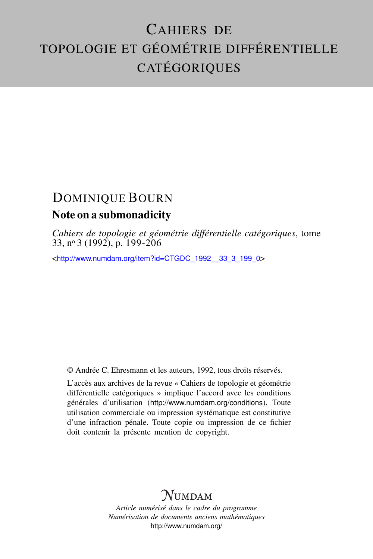# CAHIERS DE TOPOLOGIE ET GÉOMÉTRIE DIFFÉRENTIELLE CATÉGORIQUES

## DOMINIQUE BOURN Note on a submonadicity

*Cahiers de topologie et géométrie différentielle catégoriques*, tome 33, n<sup>o</sup> 3 (1992), p. 199-206

<[http://www.numdam.org/item?id=CTGDC\\_1992\\_\\_33\\_3\\_199\\_0](http://www.numdam.org/item?id=CTGDC_1992__33_3_199_0)>

© Andrée C. Ehresmann et les auteurs, 1992, tous droits réservés.

L'accès aux archives de la revue « Cahiers de topologie et géométrie différentielle catégoriques » implique l'accord avec les conditions générales d'utilisation (<http://www.numdam.org/conditions>). Toute utilisation commerciale ou impression systématique est constitutive d'une infraction pénale. Toute copie ou impression de ce fichier doit contenir la présente mention de copyright.

## **NUMDAM**

*Article numérisé dans le cadre du programme Numérisation de documents anciens mathématiques* <http://www.numdam.org/>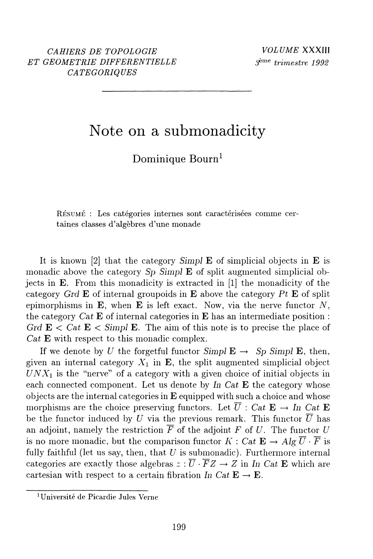## Note on a submonadicity

Dominique Bourn<sup>1</sup>

RÉSUMÉ : Les catégories internes sont caractérisées comme certaines classes d'algèbres d'une monade

It is known [2] that the category Simples E of simplicial objects in  $E$  is monadic above the category  $Sp$  Simpl  $\bf{E}$  of split augmented simplicial objects in  $\bf{E}$ . From this monadicity is extracted in [1] the monadicity of the category Grd E of internal groupoids in E above the category Pt E of split epimorphisms in  $E$ , when  $E$  is left exact. Now, via the nerve functor  $N$ . the category  $Cat \mathbf{E}$  of internal categories in  $\mathbf{E}$  has an intermediate position: Grd  $\mathbf{E} \leq Cat \mathbf{E} \leq \text{Simpl } \mathbf{E}$ . The aim of this note is to precise the place of  $Cat \mathbf{E}$  with respect to this monadic complex.

If we denote by U the forgetful functor  $Simpl E \rightarrow Sp \, Simpl \, \mathbf{E}$ , then, given an internal category  $X_1$  in **E**, the split augmented simplicial object  $UNX_1$  is the "nerve" of a category with a given choice of initial objects in each connected component. Let us denote by In Cat  $E$  the category whose objects are the internal categories in  $E$  equipped with such a choice and whose morphisms are the choice preserving functors. Let  $\overline{U}$ : Cat  $\mathbf{E} \to \text{In Cat } \mathbf{E}$ be the functor induced by U via the previous remark. This functor  $\overline{U}$  has an adjoint, namely the restriction  $\overline{F}$  of the adjoint F of U. The functor U is no more monadic, but the comparison functor  $K: Cat \to Alg \overline{U} \cdot \overline{F}$  is fully faithful (let us say, then, that  $U$  is submonadic). Furthermore internal categories are exactly those algebras  $z : \overline{U} \cdot \overline{F}Z \to Z$  in In Cat E which are cartesian with respect to a certain fibration In Cat  $\mathbf{E} \to \mathbf{E}$ .

<sup>&</sup>lt;sup>1</sup>Université de Picardie Jules Verne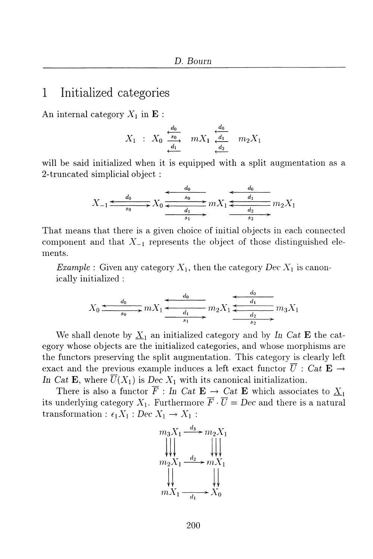#### Initialized categories 1

An internal category  $X_1$  in  $\mathbf E$ :

$$
X_1 : X_0 \xrightarrow[d_1]{d_0} m X_1 \xrightarrow[d_1]{d_0} m_2 X_1
$$

will be said initialized when it is equipped with a split augmentation as a 2-truncated simplicial object:

$$
X_{-1} \xrightarrow{\phantom{a}d_0 \phantom{a}d_0 \phantom{a}} X_0 \xrightarrow{\phantom{a}d_0 \phantom{a}d_1 \phantom{a}} X_1 \xrightarrow{\phantom{a}d_0 \phantom{a}d_1 \phantom{a}} m X_1 \xrightarrow{\phantom{a}d_0 \phantom{a}} X_1 \xrightarrow{\phantom{a}d_1 \phantom{a}} X_2 X_1
$$

That means that there is a given choice of initial objects in each connected component and that  $X_{-1}$  represents the object of those distinguished elements.

*Example*: Given any category  $X_1$ , then the category Dec  $X_1$  is canonically initialized:

$$
X_0 \xrightarrow{d_0} mX_1 \xrightarrow{d_0} m_2X_1 \xrightarrow{d_0} m_3X_1
$$

We shall denote by  $\underline{X}_1$  an initialized category and by In Cat E the category whose objects are the initialized categories, and whose morphisms are the functors preserving the split augmentation. This category is clearly left exact and the previous example induces a left exact functor  $\overline{U}$  : Cat  $\mathbf{E} \rightarrow$ In Cat E, where  $\overline{U}(X_1)$  is Dec  $X_1$  with its canonical initialization.

There is also a functor  $\overline{F}$ : In Cat  $\mathbf{E} \to \text{Cat } \mathbf{E}$  which associates to  $\underline{X}_1$ its underlying category  $X_1$ . Furthermore  $\overline{F} \cdot \overline{U} = Dec$  and there is a natural transformation :  $\epsilon_1 X_1 : Dec X_1 \rightarrow X_1$ :

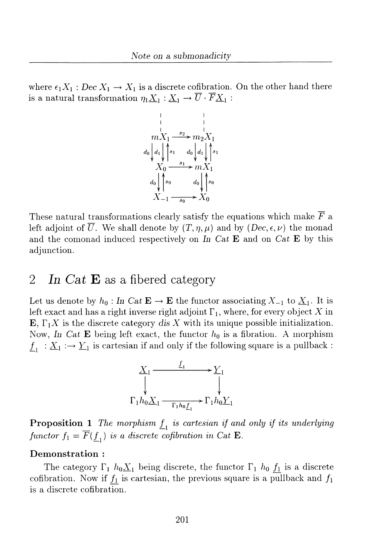where  $\epsilon_1 X_1 : Dec X_1 \to X_1$  is a discrete cofibration. On the other hand there is a natural transformation  $\eta_1 \underline{X}_1 : \underline{X}_1 \to \overline{U} \cdot \overline{F} \underline{X}_1$  :



These natural transformations clearly satisfy the equations which make  $\overline{F}$  a left adjoint of  $\overline{U}$ . We shall denote by  $(T, \eta, \mu)$  and by  $(Dec, \epsilon, \nu)$  the monad and the comonad induced respectively on In Cat E and on Cat E by this adjunction.

#### $\overline{2}$ In Cat  $\bf{E}$  as a fibered category

Let us denote by  $h_0:$  In Cat  $\mathbf{E} \to \mathbf{E}$  the functor associating  $X_{-1}$  to  $\underline{X}_1$ . It is left exact and has a right inverse right adjoint  $\Gamma_1$ , where, for every object X in  $\mathbf{E}, \Gamma_1 X$  is the discrete category dis X with its unique possible initialization. Now, In Cat E being left exact, the functor  $h_0$  is a fibration. A morphism  $\underline{f}_1 : \underline{X}_1 : \to \underline{Y}_1$  is cartesian if and only if the following square is a pullback:



**Proposition 1** The morphism  $\underline{f}_1$  is cartesian if and only if its underlying functor  $f_1 = \overline{F}(\underline{f}_1)$  is a discrete cofibration in Cat **E**.

### Demonstration:

The category  $\Gamma_1$   $h_0 \underline{X}_1$  being discrete, the functor  $\Gamma_1$   $h_0$   $\underline{f_1}$  is a discrete cofibration. Now if  $f_1$  is cartesian, the previous square is a pullback and  $f_1$ is a discrete cofibration.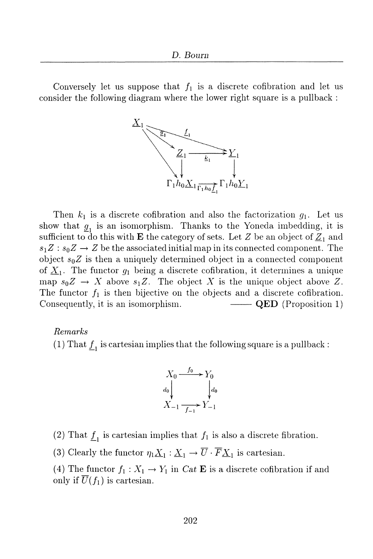Conversely let us suppose that  $f_1$  is a discrete cofibration and let us consider the following diagram where the lower right square is a pullback:



Then  $k_1$  is a discrete cofibration and also the factorization  $g_1$ . Let us show that  $g_1$  is an isomorphism. Thanks to the Yoneda imbedding, it is sufficient to do this with **E** the category of sets. Let Z be an object of  $Z_1$  and  $s_1Z: s_0Z \to Z$  be the associated initial map in its connected component. The object  $s_0Z$  is then a uniquely determined object in a connected component of  $\underline{X}_1$ . The functor  $g_1$  being a discrete cofibration, it determines a unique map  $s_0Z \to X$  above  $s_1Z$ . The object X is the unique object above Z. The functor  $f_1$  is then bijective on the objects and a discrete cofibration. Consequently, it is an isomorphism.  $\longrightarrow$  QED (Proposition 1)

Remarks

(1) That  $\underline{f}_1$  is cartesian implies that the following square is a pullback :



(2) That  $\underline{f}_1$  is cartesian implies that  $f_1$  is also a discrete fibration.

(3) Clearly the functor  $\eta_1 \underline{X}_1 : \underline{X}_1 \to \overline{U} \cdot \overline{F} \underline{X}_1$  is cartesian.

(4) The functor  $f_1: X_1 \to Y_1$  in Cat **E** is a discrete cofibration if and only if  $\overline{U}(f_1)$  is cartesian.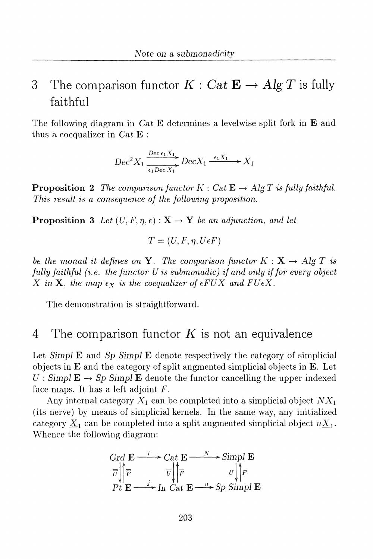### 3 The comparison functor  $K: Cat \to Alg T$  is fully faithful

The following diagram in Cat **E** determines a levelwise split fork in **E** and thus a coequalizer in  $Cat \mathbf{E}$ :

$$
Dec^2 X_1 \xrightarrow[\epsilon_1 Dec X_1]{Dec \epsilon_1 X_1} Dec X_1 \xrightarrow{\epsilon_1 X_1} X_1
$$

**Proposition 2** The comparison functor  $K : Cat \to Alg T$  is fully faithful. This result is a consequence of the following proposition.

**Proposition 3** Let  $(U, F, \eta, \epsilon) : \mathbf{X} \to \mathbf{Y}$  be an adjunction, and let

$$
T = (U, F, \eta, U\epsilon F)
$$

be the monad it defines on Y. The comparison functor  $K: X \to Alg T$  is fully faithful (i.e. the functor  $U$  is submonadic) if and only if for every object X in X, the map  $\epsilon_X$  is the coequalizer of  $\epsilon FUX$  and  $FU\epsilon X$ .

The demonstration is straightforward.

#### The comparison functor  $K$  is not an equivalence  $\overline{4}$

Let  $Simpl E$  and  $Sp$   $Simpl E$  denote respectively the category of simplicial objects in  $E$  and the category of split angmented simplicial objects in  $E$ . Let  $U:$  Simpl  $\mathbf{E} \to Sp$  Simpl  $\mathbf{E}$  denote the functor cancelling the upper indexed face maps. It has a left adjoint  $F$ .

Any internal category  $X_1$  can be completed into a simplicial object  $NX_1$ (its nerve) by means of simplicial kernels. In the same way, any initialized category  $\underline{X}_1$  can be completed into a split augmented simplicial object  $n\underline{X}_1$ . Whence the following diagram:

$$
\begin{array}{ccc}\n\text{Grd } \mathbf{E} & \xrightarrow{i} \mathbf{Cat} \mathbf{E} & \xrightarrow{N} \text{Simpl } \mathbf{E} \\
\overline{\overline{v}} & \overline{\overline{r}} & \overline{v} \\
\overline{P} & \mathbf{E} & \xrightarrow{j} \text{In} \text{Cat} \mathbf{E} & \xrightarrow{n} \text{Sp} \text{Simpl } \mathbf{E} \\
\end{array}
$$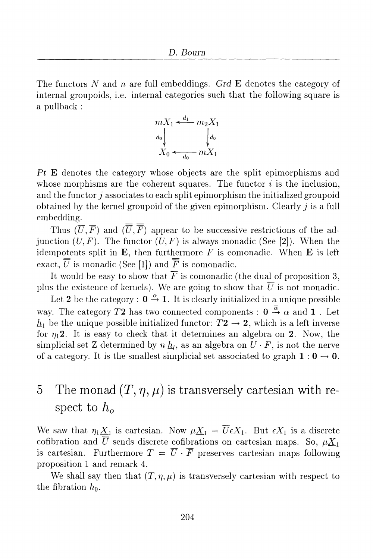The functors N and n are full embeddings. Grd E denotes the category of internal groupoids, i.e. internal categories such that the following square is a pullback:



Pt E denotes the category whose objects are the split epimorphisms and whose morphisms are the coherent squares. The functor  $i$  is the inclusion, and the functor  $j$  associates to each split epimorphism the initialized groupoid obtained by the kernel groupoid of the given epimorphism. Clearly  $j$  is a full embedding.

Thus  $(\overline{U}, \overline{F})$  and  $(\overline{\overline{U}}, \overline{\overline{F}})$  appear to be successive restrictions of the adjunction  $(U, F)$ . The functor  $(U, F)$  is always monadic (See [2]). When the idempotents split in  $E$ , then furthermore  $F$  is comonadic. When  $E$  is left exact.  $\overline{\overline{U}}$  is monadic (See [1]) and  $\overline{\overline{F}}$  is comonadic.

It would be easy to show that  $\overline{F}$  is comonadic (the dual of proposition 3, plus the existence of kernels). We are going to show that  $\overline{U}$  is not monadic.

Let 2 be the category :  $0 \stackrel{\alpha}{\rightarrow} 1$ . It is clearly initialized in a unique possible way. The category T2 has two connected components :  $0 \stackrel{\overline{\alpha}}{\rightarrow} \alpha$  and 1. Let  $\underline{h}_1$  be the unique possible initialized functor:  $T2 \rightarrow 2$ , which is a left inverse for  $\eta_1$ 2. It is easy to check that it determines an algebra on 2. Now, the simplicial set Z determined by  $n \underline{h}_l$ , as an algebra on  $U \cdot F$ , is not the nerve of a category. It is the smallest simplicial set associated to graph  $1:0 \rightarrow 0$ .

## The monad  $(T, \eta, \mu)$  is transversely cartesian with re- $\overline{5}$ spect to  $h_{\alpha}$

We saw that  $\eta_1 \underline{X}_1$  is cartesian. Now  $\mu \underline{X}_1 = \overline{U} \epsilon X_1$ . But  $\epsilon X_1$  is a discrete cofibration and  $\overline{U}$  sends discrete cofibrations on cartesian maps. So,  $\mu \underline{X}_1$ is cartesian. Furthermore  $T = \overline{U} \cdot \overline{F}$  preserves cartesian maps following proposition 1 and remark 4.

We shall say then that  $(T, \eta, \mu)$  is transversely cartesian with respect to the fibration  $h_0$ .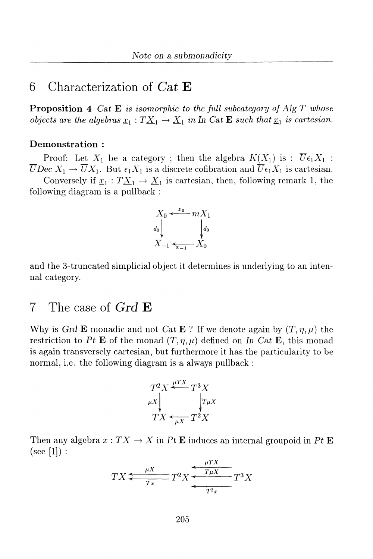### Characterization of  $Cat$   $\bf{E}$ 6

**Proposition 4** Cat  $E$  is isomorphic to the full subcategory of Alg  $T$  whose objects are the algebras  $\underline{x}_1 : T \underline{X}_1 \to \underline{X}_1$  in In Cat **E** such that  $\underline{x}_1$  is cartesian.

### Demonstration:

Proof: Let  $X_1$  be a category; then the algebra  $K(X_1)$  is:  $\overline{U} \epsilon_1 X_1$ :  $\overline{U}$ Dec  $X_1 \to \overline{U}X_1$ . But  $\epsilon_1 X_1$  is a discrete cofibration and  $\overline{U} \epsilon_1 X_1$  is cartesian.

Conversely if  $\underline{x}_1 : T \underline{X}_1 \to \underline{X}_1$  is cartesian, then, following remark 1, the following diagram is a pullback:



and the 3-truncated simplicial object it determines is underlying to an intennal category.

#### $\overline{7}$ The case of  $GrdE$

Why is Grd E monadic and not Cat E ? If we denote again by  $(T, \eta, \mu)$  the restriction to Pt E of the monad  $(T, \eta, \mu)$  defined on In Cat E, this monad is again transversely cartesian, but furthermore it has the particularity to be normal, i.e. the following diagram is a always pullback:

$$
T^2 X \stackrel{\mu TX}{\longleftarrow} T^3 X
$$
  
\n
$$
T X \stackrel{\mu X}{\longleftarrow} T^2 X
$$
  
\n
$$
T X \stackrel{\mu X}{\longleftarrow} T^2 X
$$

Then any algebra  $x: TX \to X$  in Pt E induces an internal groupoid in Pt E  $(see [1]):$ 

$$
TX \xleftarrow[Tx]{\mu X} T^2 X \xleftarrow[Tx]{\mu TX} T^3 X
$$